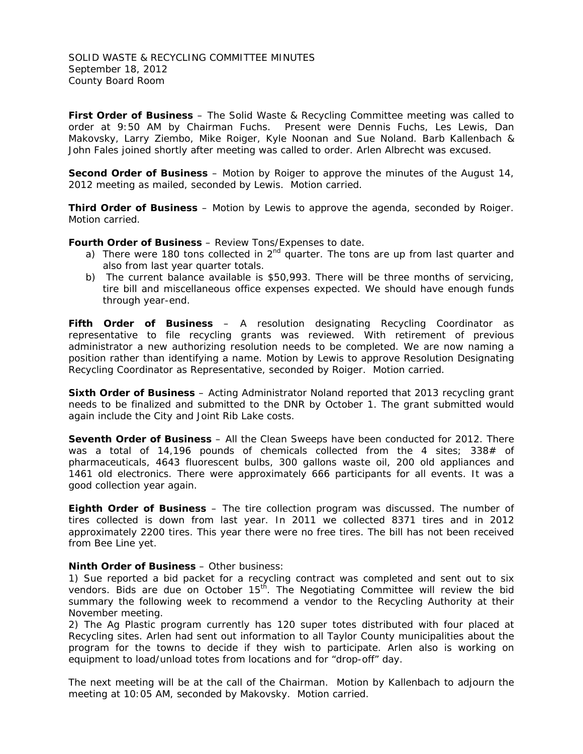SOLID WASTE & RECYCLING COMMITTEE MINUTES September 18, 2012 County Board Room

**First Order of Business** – The Solid Waste & Recycling Committee meeting was called to order at 9:50 AM by Chairman Fuchs. Present were Dennis Fuchs, Les Lewis, Dan Makovsky, Larry Ziembo, Mike Roiger, Kyle Noonan and Sue Noland. Barb Kallenbach & John Fales joined shortly after meeting was called to order. Arlen Albrecht was excused.

**Second Order of Business** – Motion by Roiger to approve the minutes of the August 14, 2012 meeting as mailed, seconded by Lewis. Motion carried.

**Third Order of Business** – Motion by Lewis to approve the agenda, seconded by Roiger. Motion carried.

**Fourth Order of Business** – Review Tons/Expenses to date.

- a) There were 180 tons collected in  $2<sup>nd</sup>$  quarter. The tons are up from last quarter and also from last year quarter totals.
- b) The current balance available is \$50,993. There will be three months of servicing, tire bill and miscellaneous office expenses expected. We should have enough funds through year-end.

**Fifth Order of Business** – A resolution designating Recycling Coordinator as representative to file recycling grants was reviewed. With retirement of previous administrator a new authorizing resolution needs to be completed. We are now naming a position rather than identifying a name. Motion by Lewis to approve Resolution Designating Recycling Coordinator as Representative, seconded by Roiger. Motion carried.

**Sixth Order of Business** – Acting Administrator Noland reported that 2013 recycling grant needs to be finalized and submitted to the DNR by October 1. The grant submitted would again include the City and Joint Rib Lake costs.

**Seventh Order of Business** – All the Clean Sweeps have been conducted for 2012. There was a total of 14,196 pounds of chemicals collected from the 4 sites; 338# of pharmaceuticals, 4643 fluorescent bulbs, 300 gallons waste oil, 200 old appliances and 1461 old electronics. There were approximately 666 participants for all events. It was a good collection year again.

**Eighth Order of Business** – The tire collection program was discussed. The number of tires collected is down from last year. In 2011 we collected 8371 tires and in 2012 approximately 2200 tires. This year there were no free tires. The bill has not been received from Bee Line yet.

## **Ninth Order of Business** – Other business:

1) Sue reported a bid packet for a recycling contract was completed and sent out to six vendors. Bids are due on October  $15<sup>th</sup>$ . The Negotiating Committee will review the bid summary the following week to recommend a vendor to the Recycling Authority at their November meeting.

2) The Ag Plastic program currently has 120 super totes distributed with four placed at Recycling sites. Arlen had sent out information to all Taylor County municipalities about the program for the towns to decide if they wish to participate. Arlen also is working on equipment to load/unload totes from locations and for "drop-off" day.

The next meeting will be at the call of the Chairman. Motion by Kallenbach to adjourn the meeting at 10:05 AM, seconded by Makovsky. Motion carried.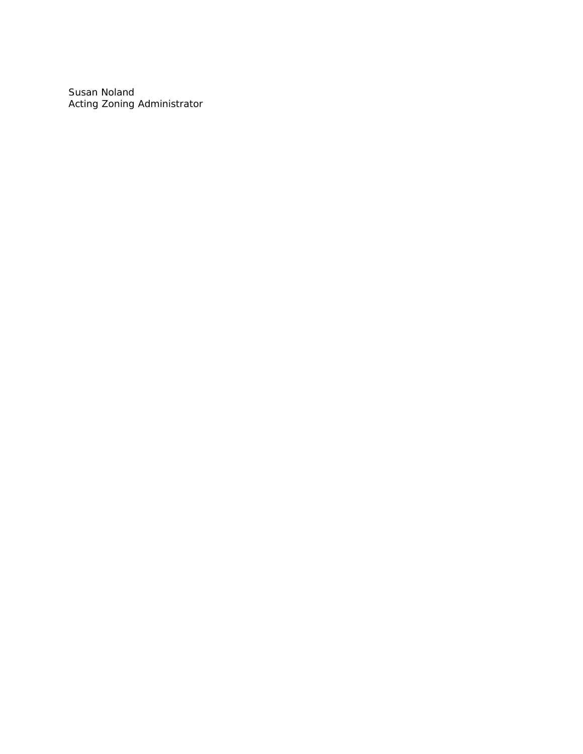Susan Noland Acting Zoning Administrator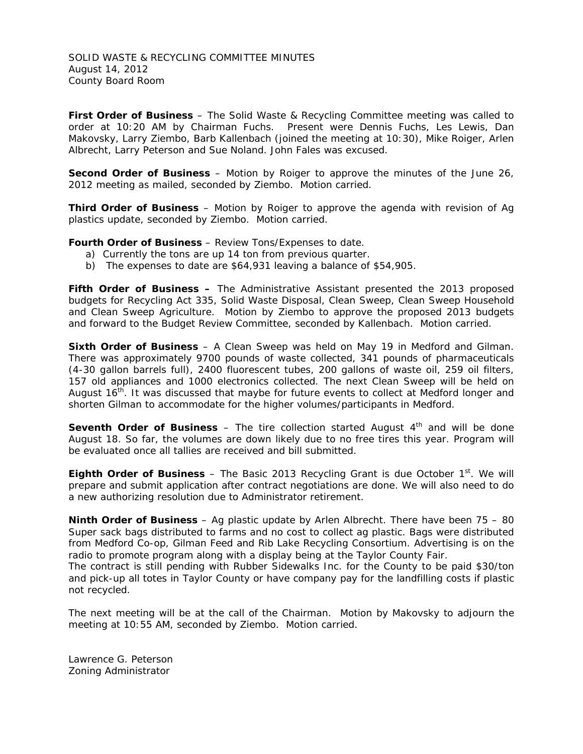SOLID WASTE & RECYCLING COMMITTEE MINUTES August 14, 2012 County Board Room

**First Order of Business** – The Solid Waste & Recycling Committee meeting was called to order at 10:20 AM by Chairman Fuchs. Present were Dennis Fuchs, Les Lewis, Dan Makovsky, Larry Ziembo, Barb Kallenbach (joined the meeting at 10:30), Mike Roiger, Arlen Albrecht, Larry Peterson and Sue Noland. John Fales was excused.

**Second Order of Business** – Motion by Roiger to approve the minutes of the June 26, 2012 meeting as mailed, seconded by Ziembo. Motion carried.

**Third Order of Business** – Motion by Roiger to approve the agenda with revision of Ag plastics update, seconded by Ziembo. Motion carried.

**Fourth Order of Business** – Review Tons/Expenses to date.

- a) Currently the tons are up 14 ton from previous quarter.
- b) The expenses to date are \$64,931 leaving a balance of \$54,905.

**Fifth Order of Business –** The Administrative Assistant presented the 2013 proposed budgets for Recycling Act 335, Solid Waste Disposal, Clean Sweep, Clean Sweep Household and Clean Sweep Agriculture. Motion by Ziembo to approve the proposed 2013 budgets and forward to the Budget Review Committee, seconded by Kallenbach. Motion carried.

**Sixth Order of Business** – A Clean Sweep was held on May 19 in Medford and Gilman. There was approximately 9700 pounds of waste collected, 341 pounds of pharmaceuticals (4-30 gallon barrels full), 2400 fluorescent tubes, 200 gallons of waste oil, 259 oil filters, 157 old appliances and 1000 electronics collected. The next Clean Sweep will be held on August 16<sup>th</sup>. It was discussed that maybe for future events to collect at Medford longer and shorten Gilman to accommodate for the higher volumes/participants in Medford.

**Seventh Order of Business** – The tire collection started August 4<sup>th</sup> and will be done August 18. So far, the volumes are down likely due to no free tires this year. Program will be evaluated once all tallies are received and bill submitted.

**Eighth Order of Business** – The Basic 2013 Recycling Grant is due October  $1<sup>st</sup>$ . We will prepare and submit application after contract negotiations are done. We will also need to do a new authorizing resolution due to Administrator retirement.

**Ninth Order of Business** – Ag plastic update by Arlen Albrecht. There have been 75 – 80 Super sack bags distributed to farms and no cost to collect ag plastic. Bags were distributed from Medford Co-op, Gilman Feed and Rib Lake Recycling Consortium. Advertising is on the radio to promote program along with a display being at the Taylor County Fair.

The contract is still pending with Rubber Sidewalks Inc. for the County to be paid \$30/ton and pick-up all totes in Taylor County or have company pay for the landfilling costs if plastic not recycled.

The next meeting will be at the call of the Chairman. Motion by Makovsky to adjourn the meeting at 10:55 AM, seconded by Ziembo. Motion carried.

Lawrence G. Peterson Zoning Administrator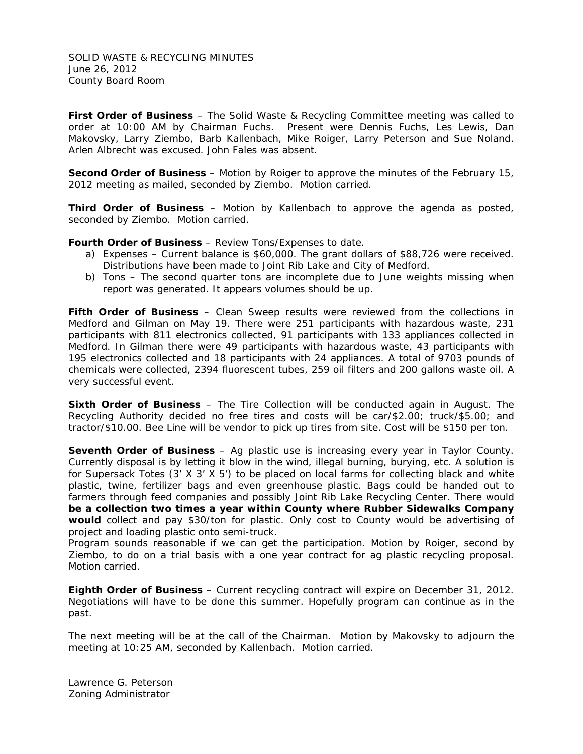SOLID WASTE & RECYCLING MINUTES June 26, 2012 County Board Room

**First Order of Business** – The Solid Waste & Recycling Committee meeting was called to order at 10:00 AM by Chairman Fuchs. Present were Dennis Fuchs, Les Lewis, Dan Makovsky, Larry Ziembo, Barb Kallenbach, Mike Roiger, Larry Peterson and Sue Noland. Arlen Albrecht was excused. John Fales was absent.

**Second Order of Business** – Motion by Roiger to approve the minutes of the February 15, 2012 meeting as mailed, seconded by Ziembo. Motion carried.

**Third Order of Business** – Motion by Kallenbach to approve the agenda as posted, seconded by Ziembo. Motion carried.

**Fourth Order of Business** – Review Tons/Expenses to date.

- a) Expenses Current balance is \$60,000. The grant dollars of \$88,726 were received. Distributions have been made to Joint Rib Lake and City of Medford.
- b) Tons The second quarter tons are incomplete due to June weights missing when report was generated. It appears volumes should be up.

**Fifth Order of Business** – Clean Sweep results were reviewed from the collections in Medford and Gilman on May 19. There were 251 participants with hazardous waste, 231 participants with 811 electronics collected, 91 participants with 133 appliances collected in Medford. In Gilman there were 49 participants with hazardous waste, 43 participants with 195 electronics collected and 18 participants with 24 appliances. A total of 9703 pounds of chemicals were collected, 2394 fluorescent tubes, 259 oil filters and 200 gallons waste oil. A very successful event.

**Sixth Order of Business** – The Tire Collection will be conducted again in August. The Recycling Authority decided no free tires and costs will be car/\$2.00; truck/\$5.00; and tractor/\$10.00. Bee Line will be vendor to pick up tires from site. Cost will be \$150 per ton.

**Seventh Order of Business** – Ag plastic use is increasing every year in Taylor County. Currently disposal is by letting it blow in the wind, illegal burning, burying, etc. A solution is for Supersack Totes (3' X 3' X 5') to be placed on local farms for collecting black and white plastic, twine, fertilizer bags and even greenhouse plastic. Bags could be handed out to farmers through feed companies and possibly Joint Rib Lake Recycling Center. There would **be a collection two times a year within County where Rubber Sidewalks Company would** collect and pay \$30/ton for plastic. Only cost to County would be advertising of project and loading plastic onto semi-truck.

Program sounds reasonable if we can get the participation. Motion by Roiger, second by Ziembo, to do on a trial basis with a one year contract for ag plastic recycling proposal. Motion carried.

**Eighth Order of Business** – Current recycling contract will expire on December 31, 2012. Negotiations will have to be done this summer. Hopefully program can continue as in the past.

The next meeting will be at the call of the Chairman. Motion by Makovsky to adjourn the meeting at 10:25 AM, seconded by Kallenbach. Motion carried.

Lawrence G. Peterson Zoning Administrator